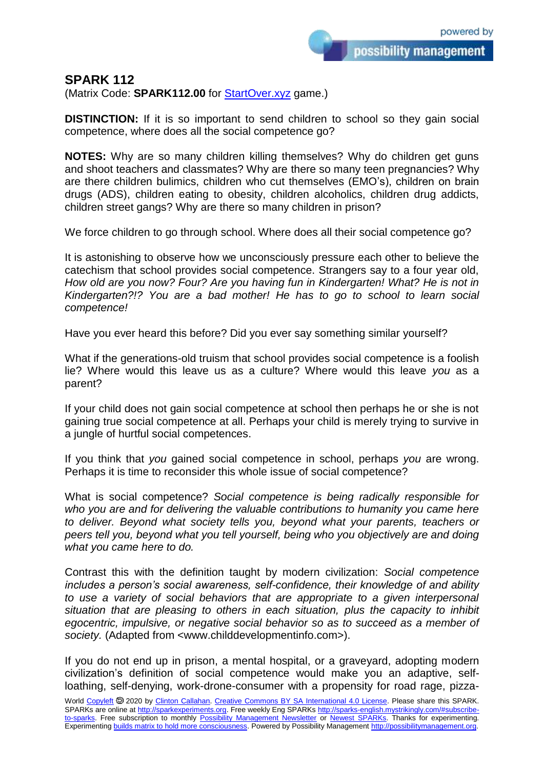possibility management

## **SPARK 112**

(Matrix Code: **SPARK112.00** for **StartOver.xyz** game.)

**DISTINCTION:** If it is so important to send children to school so they gain social competence, where does all the social competence go?

**NOTES:** Why are so many children killing themselves? Why do children get guns and shoot teachers and classmates? Why are there so many teen pregnancies? Why are there children bulimics, children who cut themselves (EMO's), children on brain drugs (ADS), children eating to obesity, children alcoholics, children drug addicts, children street gangs? Why are there so many children in prison?

We force children to go through school. Where does all their social competence go?

It is astonishing to observe how we unconsciously pressure each other to believe the catechism that school provides social competence. Strangers say to a four year old, *How old are you now? Four? Are you having fun in Kindergarten! What? He is not in Kindergarten?!? You are a bad mother! He has to go to school to learn social competence!*

Have you ever heard this before? Did you ever say something similar yourself?

What if the generations-old truism that school provides social competence is a foolish lie? Where would this leave us as a culture? Where would this leave *you* as a parent?

If your child does not gain social competence at school then perhaps he or she is not gaining true social competence at all. Perhaps your child is merely trying to survive in a jungle of hurtful social competences.

If you think that *you* gained social competence in school, perhaps *you* are wrong. Perhaps it is time to reconsider this whole issue of social competence?

What is social competence? *Social competence is being radically responsible for who you are and for delivering the valuable contributions to humanity you came here to deliver. Beyond what society tells you, beyond what your parents, teachers or peers tell you, beyond what you tell yourself, being who you objectively are and doing what you came here to do.*

Contrast this with the definition taught by modern civilization: *Social competence includes a person's social awareness, self-confidence, their knowledge of and ability to use a variety of social behaviors that are appropriate to a given interpersonal situation that are pleasing to others in each situation, plus the capacity to inhibit egocentric, impulsive, or negative social behavior so as to succeed as a member of society.* (Adapted from <www.childdevelopmentinfo.com>).

If you do not end up in prison, a mental hospital, or a graveyard, adopting modern civilization's definition of social competence would make you an adaptive, selfloathing, self-denying, work-drone-consumer with a propensity for road rage, pizza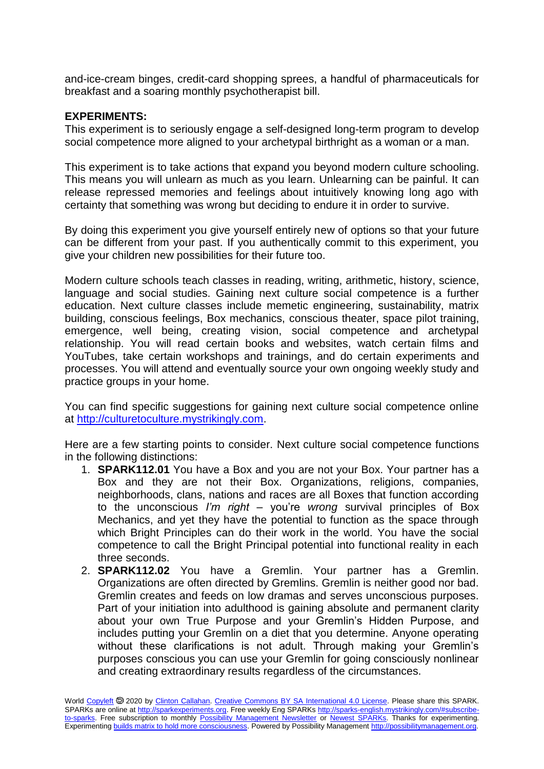and-ice-cream binges, credit-card shopping sprees, a handful of pharmaceuticals for breakfast and a soaring monthly psychotherapist bill.

## **EXPERIMENTS:**

This experiment is to seriously engage a self-designed long-term program to develop social competence more aligned to your archetypal birthright as a woman or a man.

This experiment is to take actions that expand you beyond modern culture schooling. This means you will unlearn as much as you learn. Unlearning can be painful. It can release repressed memories and feelings about intuitively knowing long ago with certainty that something was wrong but deciding to endure it in order to survive.

By doing this experiment you give yourself entirely new of options so that your future can be different from your past. If you authentically commit to this experiment, you give your children new possibilities for their future too.

Modern culture schools teach classes in reading, writing, arithmetic, history, science, language and social studies. Gaining next culture social competence is a further education. Next culture classes include memetic engineering, sustainability, matrix building, conscious feelings, Box mechanics, conscious theater, space pilot training, emergence, well being, creating vision, social competence and archetypal relationship. You will read certain books and websites, watch certain films and YouTubes, take certain workshops and trainings, and do certain experiments and processes. You will attend and eventually source your own ongoing weekly study and practice groups in your home.

You can find specific suggestions for gaining next culture social competence online at [http://culturetoculture.mystrikingly.com.](http://culturetoculture.mystrikingly.com/)

Here are a few starting points to consider. Next culture social competence functions in the following distinctions:

- 1. **SPARK112.01** You have a Box and you are not your Box. Your partner has a Box and they are not their Box. Organizations, religions, companies, neighborhoods, clans, nations and races are all Boxes that function according to the unconscious *I'm right* – you're *wrong* survival principles of Box Mechanics, and yet they have the potential to function as the space through which Bright Principles can do their work in the world. You have the social competence to call the Bright Principal potential into functional reality in each three seconds.
- 2. **SPARK112.02** You have a Gremlin. Your partner has a Gremlin. Organizations are often directed by Gremlins. Gremlin is neither good nor bad. Gremlin creates and feeds on low dramas and serves unconscious purposes. Part of your initiation into adulthood is gaining absolute and permanent clarity about your own True Purpose and your Gremlin's Hidden Purpose, and includes putting your Gremlin on a diet that you determine. Anyone operating without these clarifications is not adult. Through making your Gremlin's purposes conscious you can use your Gremlin for going consciously nonlinear and creating extraordinary results regardless of the circumstances.